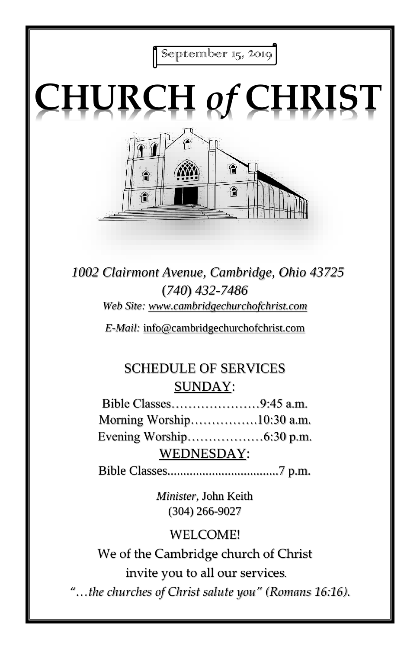September 15, 2019

# **CHURCH** *of* **CHRIST**



*1002 Clairmont Avenue, Cambridge, Ohio 43725* (*740*) *432-7486 Web Site: www.cambridgechurchofchrist.com*

*E-Mail:* info@cambridgechurchofchrist.com

# SCHEDULE OF SERVICES SUNDAY:

Bible Classes…………………9:45 a.m. Morning Worship…………….10:30 a.m. Evening Worship………………6:30 p.m. WEDNESDAY:

Bible Classes...................................7 p.m.

*Minister,* John Keith (304) 266-9027

### WELCOME!

We of the Cambridge church of Christ invite you to all our services*.*

*"…the churches of Christ salute you" (Romans 16:16).*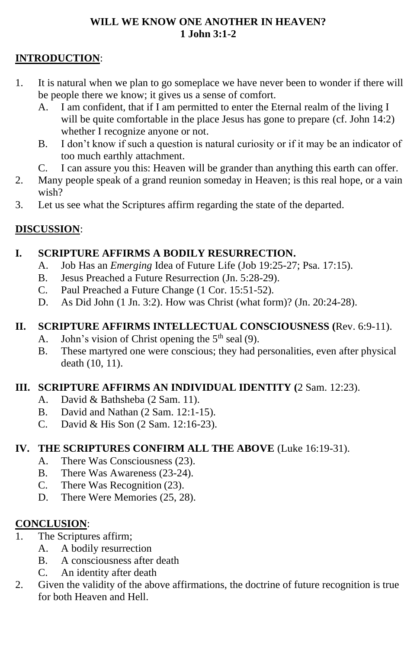#### **WILL WE KNOW ONE ANOTHER IN HEAVEN? 1 John 3:1-2**

#### **INTRODUCTION**:

- 1. It is natural when we plan to go someplace we have never been to wonder if there will be people there we know; it gives us a sense of comfort.
	- A. I am confident, that if I am permitted to enter the Eternal realm of the living I will be quite comfortable in the place Jesus has gone to prepare (cf. John 14:2) whether I recognize anyone or not.
	- B. I don't know if such a question is natural curiosity or if it may be an indicator of too much earthly attachment.
	- C. I can assure you this: Heaven will be grander than anything this earth can offer.
- 2. Many people speak of a grand reunion someday in Heaven; is this real hope, or a vain wish?
- 3. Let us see what the Scriptures affirm regarding the state of the departed.

#### **DISCUSSION**:

#### **I. SCRIPTURE AFFIRMS A BODILY RESURRECTION.**

- A. Job Has an *Emerging* Idea of Future Life (Job 19:25-27; Psa. 17:15).
- B. Jesus Preached a Future Resurrection (Jn. 5:28-29).
- C. Paul Preached a Future Change (1 Cor. 15:51-52).
- D. As Did John (1 Jn. 3:2). How was Christ (what form)? (Jn. 20:24-28).

#### **II. SCRIPTURE AFFIRMS INTELLECTUAL CONSCIOUSNESS (**Rev. 6:9-11).

- A. John's vision of Christ opening the  $5<sup>th</sup>$  seal (9).
- B. These martyred one were conscious; they had personalities, even after physical death (10, 11).

#### **III. SCRIPTURE AFFIRMS AN INDIVIDUAL IDENTITY (**2 Sam. 12:23).

- A. David & Bathsheba (2 Sam. 11).
- B. David and Nathan (2 Sam. 12:1-15).
- C. David & His Son (2 Sam. 12:16-23).

#### **IV. THE SCRIPTURES CONFIRM ALL THE ABOVE** (Luke 16:19-31).

- A. There Was Consciousness (23).
- B. There Was Awareness (23-24).
- C. There Was Recognition (23).
- D. There Were Memories (25, 28).

#### **CONCLUSION**:

- 1. The Scriptures affirm;
	- A. A bodily resurrection
	- B. A consciousness after death
	- C. An identity after death
- 2. Given the validity of the above affirmations, the doctrine of future recognition is true for both Heaven and Hell.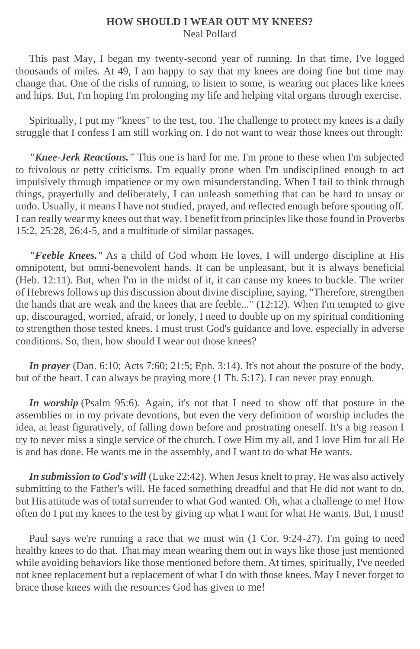#### **HOW SHOULD I WEAR OUT MY KNEES?** Neal Pollard

 This past May, I began my twenty-second year of running. In that time, I've logged thousands of miles. At 49, I am happy to say that my knees are doing fine but time may change that. One of the risks of running, to listen to some, is wearing out places like knees and hips. But, I'm hoping I'm prolonging my life and helping vital organs through exercise.

 Spiritually, I put my "knees" to the test, too. The challenge to protect my knees is a daily struggle that I confess I am still working on. I do not want to wear those knees out through:

 *"Knee-Jerk Reactions."* This one is hard for me. I'm prone to these when I'm subjected to frivolous or petty criticisms. I'm equally prone when I'm undisciplined enough to act impulsively through impatience or my own misunderstanding. When I fail to think through things, prayerfully and deliberately, I can unleash something that can be hard to unsay or undo. Usually, it means I have not studied, prayed, and reflected enough before spouting off. I can really wear my knees out that way. I benefit from principles like those found in Proverbs 15:2, 25:28, 26:4-5, and a multitude of similar passages.

 *"Feeble Knees."* As a child of God whom He loves, I will undergo discipline at His omnipotent, but omni-benevolent hands. It can be unpleasant, but it is always beneficial (Heb. 12:11). But, when I'm in the midst of it, it can cause my knees to buckle. The writer of Hebrews follows up this discussion about divine discipline, saying, "Therefore, strengthen the hands that are weak and the knees that are feeble..." (12:12). When I'm tempted to give up, discouraged, worried, afraid, or lonely, I need to double up on my spiritual conditioning to strengthen those tested knees. I must trust God's guidance and love, especially in adverse conditions. So, then, how should I wear out those knees?

*In prayer* (Dan. 6:10; Acts 7:60; 21:5; Eph. 3:14). It's not about the posture of the body, but of the heart. I can always be praying more (1 Th. 5:17). I can never pray enough.

*In worship* (Psalm 95:6). Again, it's not that I need to show off that posture in the assemblies or in my private devotions, but even the very definition of worship includes the idea, at least figuratively, of falling down before and prostrating oneself. It's a big reason I try to never miss a single service of the church. I owe Him my all, and I love Him for all He is and has done. He wants me in the assembly, and I want to do what He wants.

 *In submission to God's will* (Luke 22:42). When Jesus knelt to pray, He was also actively submitting to the Father's will. He faced something dreadful and that He did not want to do, but His attitude was of total surrender to what God wanted. Oh, what a challenge to me! How often do I put my knees to the test by giving up what I want for what He wants. But, I must!

 Paul says we're running a race that we must win (1 Cor. 9:24-27). I'm going to need healthy knees to do that. That may mean wearing them out in ways like those just mentioned while avoiding behaviors like those mentioned before them. At times, spiritually, I've needed not knee replacement but a replacement of what I do with those knees. May I never forget to brace those knees with the resources God has given to me!